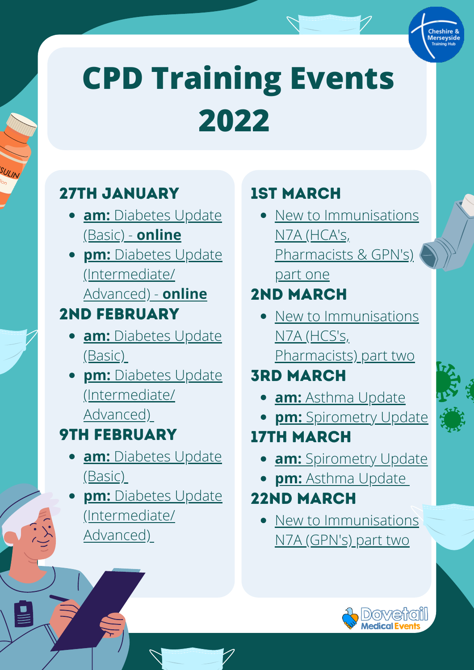

## 27th January

- **[am:](https://www.eventbrite.co.uk/e/diabetes-update-basic-cheshire-merseyside-cpd-only-tickets-216845429517)** [Diabetes Update](https://www.eventbrite.co.uk/e/diabetes-update-basic-cheshire-merseyside-cpd-only-tickets-216845429517) (Basic) - **[online](https://www.eventbrite.co.uk/e/diabetes-update-basic-cheshire-merseyside-cpd-only-tickets-216845429517)**
- **[pm:](https://www.eventbrite.co.uk/e/diabetes-update-intermediateadvanced-cheshire-merseyside-cpd-only-tickets-216852791537)** [Diabetes Update](https://www.eventbrite.co.uk/e/diabetes-update-intermediateadvanced-cheshire-merseyside-cpd-only-tickets-216852791537) (Intermediate/ Advanced) - **[online](https://www.eventbrite.co.uk/e/diabetes-update-intermediateadvanced-cheshire-merseyside-cpd-only-tickets-216852791537)**

#### 2nd February

- **[am:](https://www.eventbrite.co.uk/e/diabetes-update-basic-cheshire-merseyside-cpd-only-tickets-216818569177)** [Diabetes Update](https://www.eventbrite.co.uk/e/diabetes-update-basic-cheshire-merseyside-cpd-only-tickets-216818569177) (Basic)
- **[pm:](https://www.eventbrite.co.uk/e/diabetes-update-intermediateadvanced-cheshire-merseyside-cpd-only-tickets-216838067497)** [Diabetes Update](https://www.eventbrite.co.uk/e/diabetes-update-intermediateadvanced-cheshire-merseyside-cpd-only-tickets-216838067497) (Intermediate/ Advanced)

### 9th February

- **[am:](https://www.eventbrite.co.uk/e/diabetes-update-basic-cheshire-merseyside-cpd-only-tickets-225179767747)** [Diabetes Update](https://www.eventbrite.co.uk/e/diabetes-update-basic-cheshire-merseyside-cpd-only-tickets-225179767747) (Basic)
- **[pm:](https://www.eventbrite.co.uk/e/diabetes-update-intermediateadvanced-cheshire-merseyside-cpd-only-tickets-225189105677)** [Diabetes Update](https://www.eventbrite.co.uk/e/diabetes-update-intermediateadvanced-cheshire-merseyside-cpd-only-tickets-225189105677) (Intermediate/ Advanced)

## 1st March

• [New to Immunisations](https://www.eventbrite.co.uk/e/new-to-immunisations-basic-n7a-part-1-cheshire-merseyside-cpd-only-tickets-251309000987) N7A (HCA's, Pharmacists & GPN's) part one

### 2nd March

• [New to Immunisations](https://www.eventbrite.co.uk/e/new-to-immunisations-basic-n7a-part-2-cheshire-merseyside-cpd-only-tickets-251321428157) N7A (HCS's,

Pharmacists) part two

## **3RD MARCH**

- **[am:](https://www.eventbrite.co.uk/e/asthma-update-cheshire-merseyside-cpd-only-tickets-251139504017)** [Asthma Update](https://www.eventbrite.co.uk/e/asthma-update-cheshire-merseyside-cpd-only-tickets-251139504017)
- **[pm:](https://www.eventbrite.co.uk/e/spirometry-update-cheshire-merseyside-cpd-only-tickets-251281779567)** [Spirometry Update](https://www.eventbrite.co.uk/e/spirometry-update-cheshire-merseyside-cpd-only-tickets-251281779567)

#### 17th March

- **[am:](https://www.eventbrite.co.uk/e/spirometry-update-cheshire-merseyside-cpd-only-tickets-251288439487)** [Spirometry Update](https://www.eventbrite.co.uk/e/spirometry-update-cheshire-merseyside-cpd-only-tickets-251288439487)
- **[pm:](https://www.eventbrite.co.uk/e/asthma-update-cheshire-merseyside-cpd-only-tickets-251174388357)** [Asthma Update](https://www.eventbrite.co.uk/e/asthma-update-cheshire-merseyside-cpd-only-tickets-251174388357)

#### 22nd March

[New to Immunisations](https://www.eventbrite.co.uk/e/new-to-immunisations-basic-n7a-part-2-cheshire-merseyside-cpd-only-tickets-251323775177) N7A (GPN's) part two

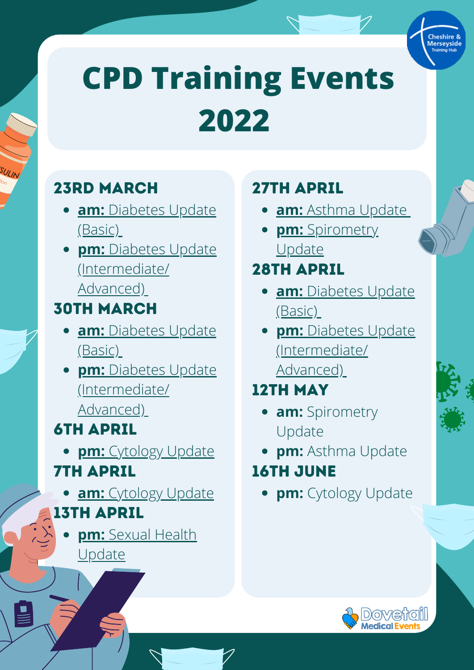

## 23rd March

- **[am:](https://www.eventbrite.co.uk/e/diabetes-update-basic-cheshire-merseyside-cpd-only-tickets-251098932667)** [Diabetes Update](https://www.eventbrite.co.uk/e/diabetes-update-basic-cheshire-merseyside-cpd-only-tickets-251098932667) (Basic)
- **[pm:](https://www.eventbrite.co.uk/e/diabetes-update-intermediateadvanced-cheshire-merseyside-cpd-only-tickets-251105141237)** [Diabetes Update](https://www.eventbrite.co.uk/e/diabetes-update-intermediateadvanced-cheshire-merseyside-cpd-only-tickets-251105141237) (Intermediate/ Advanced)

#### 30th March

- **[am:](https://www.eventbrite.co.uk/e/diabetes-update-basic-cheshire-merseyside-cpd-only-tickets-251119454047)** [Diabetes Update](https://www.eventbrite.co.uk/e/diabetes-update-basic-cheshire-merseyside-cpd-only-tickets-251119454047) (Basic)
- **[pm:](https://www.eventbrite.co.uk/e/diabetes-update-intermediateadvanced-cheshire-merseyside-cpd-only-tickets-251134298447)** [Diabetes Update](https://www.eventbrite.co.uk/e/diabetes-update-intermediateadvanced-cheshire-merseyside-cpd-only-tickets-251134298447) (Intermediate/ Advanced)

#### 6th April

- **pm:** [Cytology Update](https://www.eventbrite.co.uk/e/cytology-update-cheshire-merseyside-cpd-only-tickets-251302080287) 7th April
- **[am:](https://www.eventbrite.co.uk/e/cytology-update-cheshire-merseyside-cpd-only-tickets-255071996207)** [Cytology Update](https://www.eventbrite.co.uk/e/cytology-update-cheshire-merseyside-cpd-only-tickets-255071996207) 13th April
	- **[pm:](https://www.eventbrite.co.uk/e/sexual-health-update-cheshire-merseyside-cpd-only-tickets-255074072417)** [Sexual Health](https://www.eventbrite.co.uk/e/sexual-health-update-cheshire-merseyside-cpd-only-tickets-255074072417) **Update**

### 27th April

- **[am:](https://www.eventbrite.co.uk/e/asthma-update-cheshire-merseyside-cpd-only-tickets-251203013977)** [Asthma Update](https://www.eventbrite.co.uk/e/asthma-update-cheshire-merseyside-cpd-only-tickets-251203013977)
- **[pm:](https://www.eventbrite.co.uk/e/251291769447)** [Spirometry](https://www.eventbrite.co.uk/e/251291769447) Update

#### 28th April

- **[am:](https://www.eventbrite.co.uk/e/255108003907)** [Diabetes Update](https://www.eventbrite.co.uk/e/255108003907) (Basic)
- **[pm:](https://www.eventbrite.co.uk/e/255109899577)** [Diabetes Update](https://www.eventbrite.co.uk/e/255109899577) (Intermediate/ Advanced[\)](https://www.eventbrite.co.uk/e/255109899577)

## 12th May

- **am:** Spirometry Update
- **pm:** Asthma Update

#### 16th June

**pm:** Cytology Update

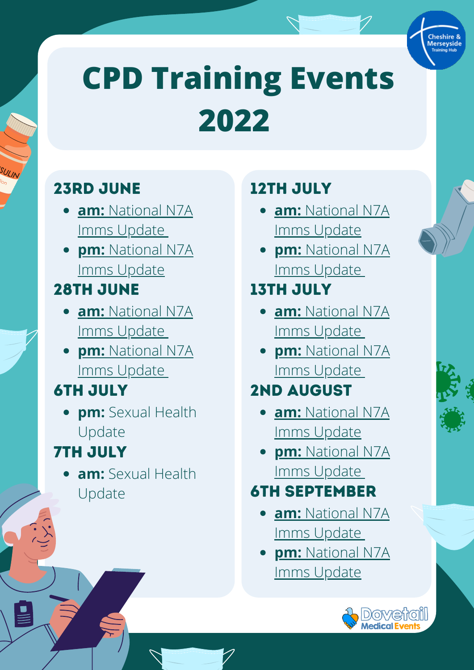

### 23rd June

- **[am:](https://www.eventbrite.co.uk/e/255086118447)** [National N7A](https://www.eventbrite.co.uk/e/255086118447) Imms Update
- **[pm:](https://www.eventbrite.co.uk/e/255087101387)** [National N7A](https://www.eventbrite.co.uk/e/255087101387) Imms Update

#### 28th June

- **[am:](https://www.eventbrite.co.uk/e/255088284927)** National N7A [Imms Update](https://www.eventbrite.co.uk/e/255088284927)
- **[pm:](https://www.eventbrite.co.uk/e/255089448407)** National N7A [Imms Update](https://www.eventbrite.co.uk/e/255089448407)

### 6th July

**pm:** Sexual Health Update

## 7th July

**am:** Sexual Health Update

### 12TH JULY

- **[am:](https://www.eventbrite.co.uk/e/255089929847)** [National N7A](https://www.eventbrite.co.uk/e/255089929847) Imms Update
- **[pm:](https://www.eventbrite.co.uk/e/255091143477)** [National N7A](https://www.eventbrite.co.uk/e/255091143477) Imms Updat[e](https://www.eventbrite.co.uk/e/255091143477)

### 13th July

- **[am:](https://www.eventbrite.co.uk/e/255093139447)** [National N7A](https://www.eventbrite.co.uk/e/255093139447) Imms Updat[e](https://www.eventbrite.co.uk/e/255093139447)
- **[pm:](https://www.eventbrite.co.uk/e/255093610857)** [National N7A](https://www.eventbrite.co.uk/e/255093610857) Imms Updat[e](https://www.eventbrite.co.uk/e/255093610857)

## 2nd August

- **[am:](https://www.eventbrite.co.uk/e/255099047117)** National N7A [Imms Update](https://www.eventbrite.co.uk/e/255099047117)
- **[pm:](https://www.eventbrite.co.uk/e/255099849517)** National N7A [Imms Update](https://www.eventbrite.co.uk/e/255099849517)

### 6th September

- **[am:](https://www.eventbrite.co.uk/e/255103891607)** National N7A [Imms Update](https://www.eventbrite.co.uk/e/255103891607)
- **[pm:](https://www.eventbrite.co.uk/e/255104583677)** National N7A [Imms Update](https://www.eventbrite.co.uk/e/255104583677)

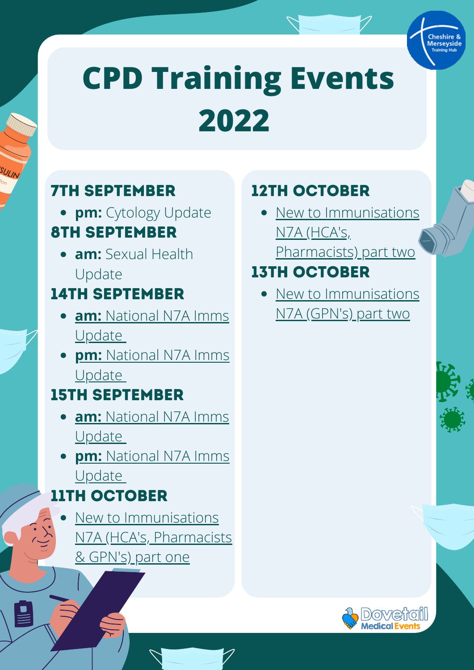

#### 7th September

**pm:** Cytology Update

#### 8th September

**am:** Sexual Health Update

#### 14th September

- **[am:](https://www.eventbrite.co.uk/e/255094343047)** [National N7A Imms](https://www.eventbrite.co.uk/e/255094343047) **Update**
- **[pm:](https://www.eventbrite.co.uk/e/255094744247)** [National N7A Imms](https://www.eventbrite.co.uk/e/255094744247) **Update**

### 15th September

- **[am:](https://www.eventbrite.co.uk/e/255095315957)** [National N7A Imms](https://www.eventbrite.co.uk/e/255095315957) **Update**
- **[pm:](https://www.eventbrite.co.uk/e/255096328987)** [National N7A Imms](https://www.eventbrite.co.uk/e/255096328987) **Update**

#### 11th October

New to Immunisations [N7A \(HCA's, Pharmacists](https://www.eventbrite.co.uk/e/255065125657) & GPN's) part one

### 12th October

• [New to Immunisations](https://www.eventbrite.co.uk/e/255066088537) N7A (HCA's, Pharmacists) part two

#### 13th October

[New to Immunisations](https://www.eventbrite.co.uk/e/255067061447) N7A (GPN's) part two